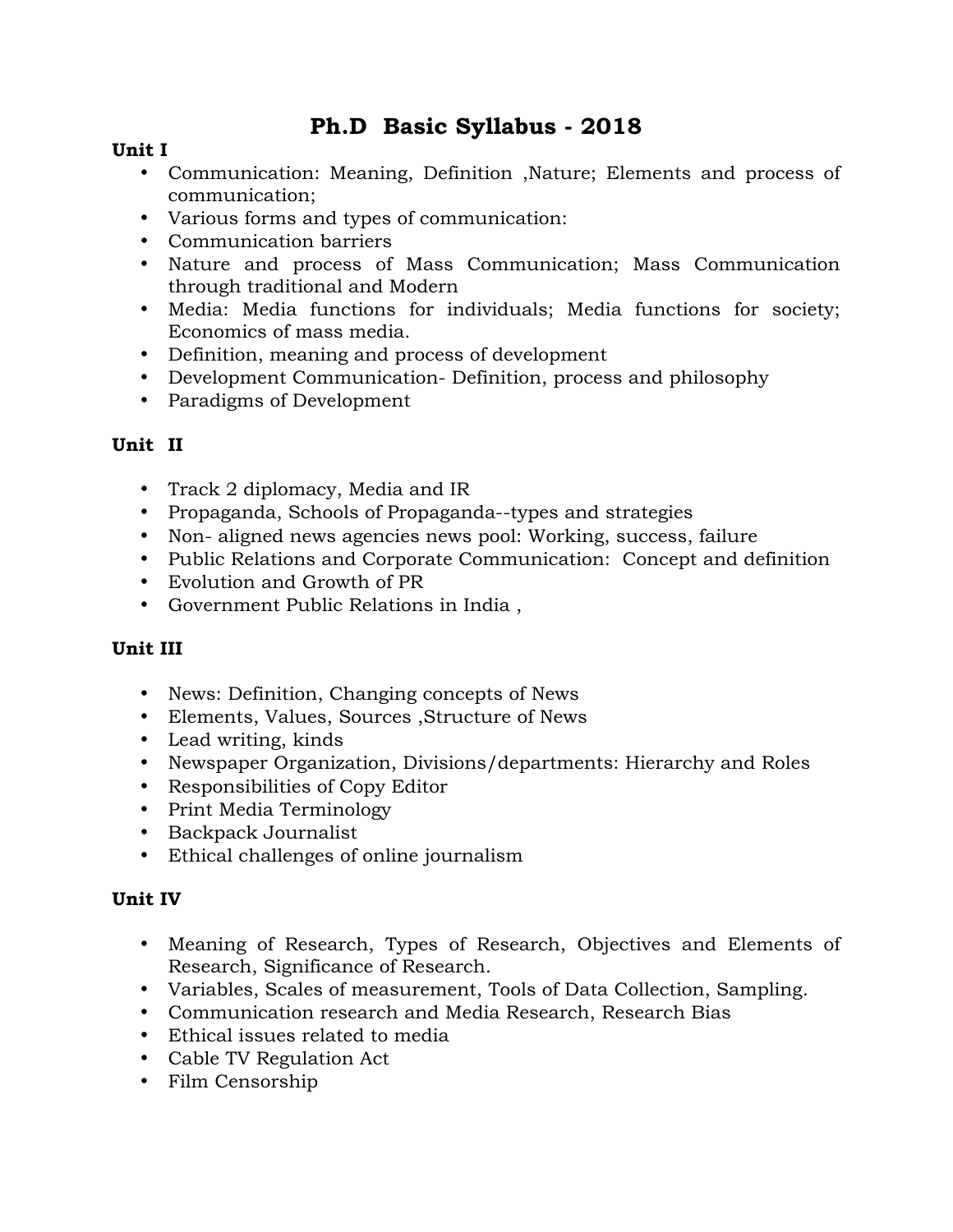# **Ph.D Basic Syllabus - 2018**

### **Unit I**

- Communication: Meaning, Definition ,Nature; Elements and process of communication;
- Various forms and types of communication:
- Communication barriers
- Nature and process of Mass Communication; Mass Communication through traditional and Modern
- Media: Media functions for individuals; Media functions for society; Economics of mass media.
- Definition, meaning and process of development
- Development Communication- Definition, process and philosophy
- Paradigms of Development

# **Unit II**

- Track 2 diplomacy, Media and IR
- Propaganda, Schools of Propaganda--types and strategies
- Non- aligned news agencies news pool: Working, success, failure
- Public Relations and Corporate Communication: Concept and definition
- Evolution and Growth of PR
- Government Public Relations in India ,

# **Unit III**

- News: Definition, Changing concepts of News
- Elements, Values, Sources ,Structure of News
- Lead writing, kinds
- Newspaper Organization, Divisions/departments: Hierarchy and Roles
- Responsibilities of Copy Editor
- Print Media Terminology
- Backpack Journalist
- Ethical challenges of online journalism

# **Unit IV**

- Meaning of Research, Types of Research, Objectives and Elements of Research, Significance of Research.
- Variables, Scales of measurement, Tools of Data Collection, Sampling.
- Communication research and Media Research, Research Bias
- Ethical issues related to media
- Cable TV Regulation Act
- Film Censorship